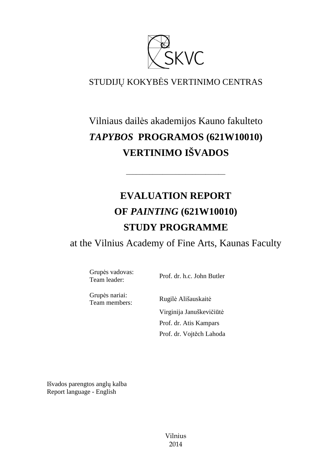

# STUDIJŲ KOKYBĖS VERTINIMO CENTRAS

# Vilniaus dailės akademijos Kauno fakulteto *TAPYBOS* **PROGRAMOS (621W10010) VERTINIMO IŠVADOS**

––––––––––––––––––––––––––––––

# **EVALUATION REPORT OF** *PAINTING* **(621W10010) STUDY PROGRAMME**

at the Vilnius Academy of Fine Arts, Kaunas Faculty

Grupės vadovas:

Team leader: Prof. dr. h.c. John Butler

Grupės nariai:

Team members: Rugilė Ališauskait<sup>ė</sup> Virginija Januškevičiūtė Prof. dr. Atis Kampars Prof. dr. Vojtěch Lahoda

Išvados parengtos anglų kalba Report language - English

> Vilnius 2014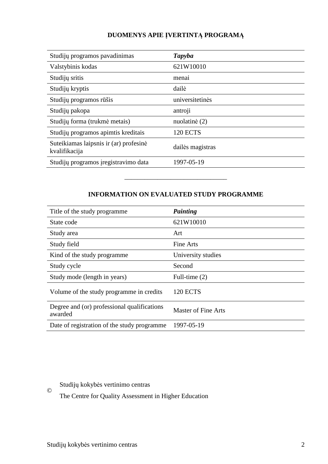### **DUOMENYS APIE ĮVERTINTĄ PROGRAMĄ**

| Studijų programos pavadinimas                           | Tapyba           |
|---------------------------------------------------------|------------------|
| Valstybinis kodas                                       | 621W10010        |
| Studijų sritis                                          | menai            |
| Studijų kryptis                                         | dailė            |
| Studijų programos rūšis                                 | universitetinės  |
| Studijų pakopa                                          | antroji          |
| Studijų forma (trukmė metais)                           | nuolatinė (2)    |
| Studijų programos apimtis kreditais                     | <b>120 ECTS</b>  |
| Suteikiamas laipsnis ir (ar) profesinė<br>kvalifikacija | dailės magistras |
| Studijų programos įregistravimo data                    | 1997-05-19       |

#### **INFORMATION ON EVALUATED STUDY PROGRAMME**

–––––––––––––––––––––––––––––––

| Title of the study programme                           | Painting                   |
|--------------------------------------------------------|----------------------------|
| State code                                             | 621W10010                  |
| Study area                                             | Art                        |
| Study field                                            | Fine Arts                  |
| Kind of the study programme.                           | University studies         |
| Study cycle                                            | Second                     |
| Study mode (length in years)                           | Full-time (2)              |
| Volume of the study programme in credits               | <b>120 ECTS</b>            |
| Degree and (or) professional qualifications<br>awarded | <b>Master of Fine Arts</b> |
| Date of registration of the study programme            | 1997-05-19                 |

## Studijų kokybės vertinimo centras

The Centre for Quality Assessment in Higher Education

©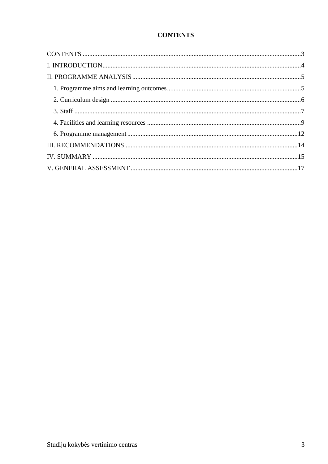### **CONTENTS**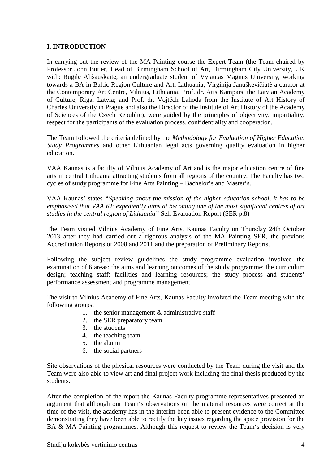#### **I. INTRODUCTION**

In carrying out the review of the MA Painting course the Expert Team (the Team chaired by Professor John Butler, Head of Birmingham School of Art, Birmingham City University, UK with: Rugilė Ališauskaitė, an undergraduate student of Vytautas Magnus University, working towards a BA in Baltic Region Culture and Art, Lithuania; Virginija Januškevičiūtė a curator at the Contemporary Art Centre, Vilnius, Lithuania; Prof. dr. Atis Kampars, the Latvian Academy of Culture, Riga, Latvia; and Prof. dr. Vojtěch Lahoda from the Institute of Art History of Charles University in Prague and also the Director of the Institute of Art History of the Academy of Sciences of the Czech Republic), were guided by the principles of objectivity, impartiality, respect for the participants of the evaluation process, confidentiality and cooperation.

The Team followed the criteria defined by the *Methodology for Evaluation of Higher Education Study Programmes* and other Lithuanian legal acts governing quality evaluation in higher education.

VAA Kaunas is a faculty of Vilnius Academy of Art and is the major education centre of fine arts in central Lithuania attracting students from all regions of the country. The Faculty has two cycles of study programme for Fine Arts Painting – Bachelor's and Master's.

VAA Kaunas' states *"Speaking about the mission of the higher education school, it has to be emphasised that VAA KF expediently aims at becoming one of the most significant centres of art studies in the central region of Lithuania"* Self Evaluation Report (SER p.8)

The Team visited Vilnius Academy of Fine Arts, Kaunas Faculty on Thursday 24th October 2013 after they had carried out a rigorous analysis of the MA Painting SER, the previous Accreditation Reports of 2008 and 2011 and the preparation of Preliminary Reports.

Following the subject review guidelines the study programme evaluation involved the examination of 6 areas: the aims and learning outcomes of the study programme; the curriculum design; teaching staff; facilities and learning resources; the study process and students' performance assessment and programme management.

The visit to Vilnius Academy of Fine Arts, Kaunas Faculty involved the Team meeting with the following groups:

- 1. the senior management & administrative staff
- 2. the SER preparatory team
- 3. the students
- 4. the teaching team
- 5. the alumni
- 6. the social partners

Site observations of the physical resources were conducted by the Team during the visit and the Team were also able to view art and final project work including the final thesis produced by the students.

After the completion of the report the Kaunas Faculty programme representatives presented an argument that although our Team's observations on the material resources were correct at the time of the visit, the academy has in the interim been able to present evidence to the Committee demonstrating they have been able to rectify the key issues regarding the space provision for the BA & MA Painting programmes. Although this request to review the Team's decision is very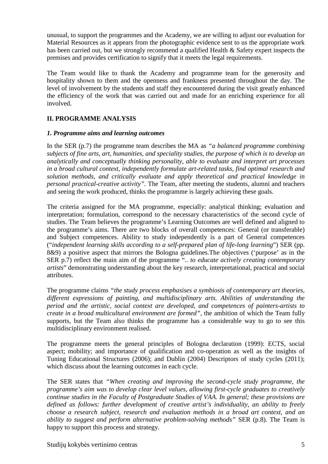unusual, to support the programmes and the Academy, we are willing to adjust our evaluation for Material Resources as it appears from the photographic evidence sent to us the appropriate work has been carried out, but we strongly recommend a qualified Health & Safety expert inspects the premises and provides certification to signify that it meets the legal requirements.

The Team would like to thank the Academy and programme team for the generosity and hospitality shown to them and the openness and frankness presented throughout the day. The level of involvement by the students and staff they encountered during the visit greatly enhanced the efficiency of the work that was carried out and made for an enriching experience for all involved.

#### **II. PROGRAMME ANALYSIS**

#### *1. Programme aims and learning outcomes*

In the SER (p.7) the programme team describes the MA as *"a balanced programme combining subjects of fine arts, art, humanities, and speciality studies, the purpose of which is to develop an analytically and conceptually thinking personality, able to evaluate and interpret art processes in a broad cultural context, independently formulate art-related tasks, find optimal research and solution methods, and critically evaluate and apply theoretical and practical knowledge in personal practical-creative activity".* The Team, after meeting the students, alumni and teachers and seeing the work produced, thinks the programme is largely achieving these goals.

The criteria assigned for the MA programme, especially: analytical thinking; evaluation and interpretation; formulation, correspond to the necessary characteristics of the second cycle of studies. The Team believes the programme's Learning Outcomes are well defined and aligned to the programme's aims. There are two blocks of overall competences: General (or transferable) and Subject competences. Ability to study independently is a part of General competences ("*independent learning skills according to a self-prepared plan of life-long learning*") SER (pp. 8&9) a positive aspect that mirrors the Bologna guidelines.The objectives ('purpose' as in the SER p.7) reflect the main aim of the programme ".. *to educate actively creating contemporary artists*" demonstrating understanding about the key research, interpretational, practical and social attributes.

The programme claims *"the study process emphasises a symbiosis of contemporary art theories, different expressions of painting, and multidisciplinary arts. Abilities of understanding the period and the artistic, social context are developed, and competences of painters-artists to create in a broad multicultural environment are formed",* the ambition of which the Team fully supports, but the Team also thinks the programme has a considerable way to go to see this multidisciplinary environment realised.

The programme meets the general principles of Bologna declaration (1999): ECTS, social aspect; mobility; and importance of qualification and co-operation as well as the insights of Tuning Educational Structures (2006); and Dublin (2004) Descriptors of study cycles (2011); which discuss about the learning outcomes in each cycle.

The SER states that *"When creating and improving the second-cycle study programme, the programme's aim was to develop clear level values, allowing first-cycle graduates to creatively continue studies in the Faculty of Postgraduate Studies of VAA. In general; these provisions are defined as follows: further development of creative artist's individuality, an ability to freely choose a research subject, research and evaluation methods in a broad art context, and an ability to suggest and perform alternative problem-solving methods"* SER (p.8)*.* The Team is happy to support this process and strategy.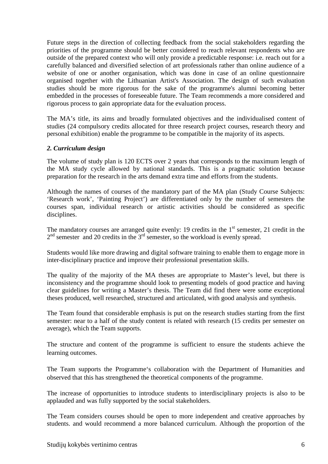Future steps in the direction of collecting feedback from the social stakeholders regarding the priorities of the programme should be better considered to reach relevant respondents who are outside of the prepared context who will only provide a predictable response: i.e. reach out for a carefully balanced and diversified selection of art professionals rather than online audience of a website of one or another organisation, which was done in case of an online questionnaire organised together with the Lithuanian Artist's Association. The design of such evaluation studies should be more rigorous for the sake of the programme's alumni becoming better embedded in the processes of foreseeable future. The Team recommends a more considered and rigorous process to gain appropriate data for the evaluation process.

The MA's title, its aims and broadly formulated objectives and the individualised content of studies (24 compulsory credits allocated for three research project courses, research theory and personal exhibition) enable the programme to be compatible in the majority of its aspects.

#### *2. Curriculum design*

The volume of study plan is 120 ECTS over 2 years that corresponds to the maximum length of the MA study cycle allowed by national standards. This is a pragmatic solution because preparation for the research in the arts demand extra time and efforts from the students.

Although the names of courses of the mandatory part of the MA plan (Study Course Subjects: 'Research work', 'Painting Project') are differentiated only by the number of semesters the courses span, individual research or artistic activities should be considered as specific disciplines.

The mandatory courses are arranged quite evenly: 19 credits in the  $1<sup>st</sup>$  semester, 21 credit in the  $2<sup>nd</sup>$  semester and 20 credits in the  $3<sup>rd</sup>$  semester, so the workload is evenly spread.

Students would like more drawing and digital software training to enable them to engage more in inter-disciplinary practice and improve their professional presentation skills.

The quality of the majority of the MA theses are appropriate to Master's level, but there is inconsistency and the programme should look to presenting models of good practice and having clear guidelines for writing a Master's thesis. The Team did find there were some exceptional theses produced, well researched, structured and articulated, with good analysis and synthesis.

The Team found that considerable emphasis is put on the research studies starting from the first semester: near to a half of the study content is related with research (15 credits per semester on average), which the Team supports.

The structure and content of the programme is sufficient to ensure the students achieve the learning outcomes.

The Team supports the Programme's collaboration with the Department of Humanities and observed that this has strengthened the theoretical components of the programme.

The increase of opportunities to introduce students to interdisciplinary projects is also to be applauded and was fully supported by the social stakeholders.

The Team considers courses should be open to more independent and creative approaches by students. and would recommend a more balanced curriculum. Although the proportion of the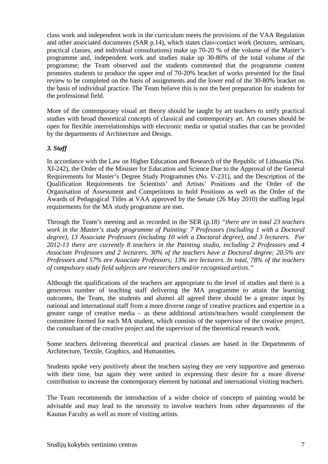class work and independent work in the curriculum meets the provisions of the VAA Regulation and other associated documents (SAR p.14), which states class-contact work (lectures, seminars, practical classes, and individual consultations) make up 70-20 % of the volume of the Master's programme and, independent work and studies make up 30-80% of the total volume of the programme; the Team observed and the students commented that the programme content promotes students to produce the upper end of 70-20% bracket of works presented for the final review to be completed on the basis of assignments and the lower end of the 30-80% bracket on the basis of individual practice. The Team believe this is not the best preparation for students for the professional field.

More of the contemporary visual art theory should be taught by art teachers to unify practical studies with broad theoretical concepts of classical and contemporary art. Art courses should be open for flexible interrelationships with electronic media or spatial studies that can be provided by the departments of Architecture and Design.

#### *3. Staff*

In accordance with the Law on Higher Education and Research of the Republic of Lithuania (No. XI-242), the Order of the Minister for Education and Science Due to the Approval of the General Requirements for Master's Degree Study Programmes (No. V-231), and the Description of the Qualification Requirements for Scientists' and Artists' Positions and the Order of the Organisation of Assessment and Competitions to hold Positions as well as the Order of the Awards of Pedagogical Titles at VAA approved by the Senate (26 May 2010) the staffing legal requirements for the MA study programme are met.

Through the Team's meeting and as recorded in the SER (p.18) *"there are in total 23 teachers work in the Master's study programme of Painting: 7 Professors (including 1 with a Doctoral degree), 13 Associate Professors (including 10 with a Doctoral degree), and 3 lecturers. For 2012-13 there are currently 8 teachers in the Painting studio, including 2 Professors and 4 Associate Professors and 2 lecturers. 30% of the teachers have a Doctoral degree; 20.5% are Professors and 57% are Associate Professors; 13% are lecturers. In total, 78% of the teachers of compulsory study field subjects are researchers and/or recognised artists*.*"* 

Although the qualifications of the teachers are appropriate to the level of studies and there is a generous number of teaching staff delivering the MA programme to attain the learning outcomes, the Team, the students and alumni all agreed there should be a greater input by national and international staff from a more diverse range of creative practices and expertise in a greater range of creative media – as these additional artists/teachers would complement the committee formed for each MA student, which consists of the supervisor of the creative project, the consultant of the creative project and the supervisor of the theoretical research work.

Some teachers delivering theoretical and practical classes are based in the Departments of Architecture, Textile, Graphics, and Humanities.

Students spoke very positively about the teachers saying they are very supportive and generous with their time, but again they were united in expressing their desire for a more diverse contribution to increase the contemporary element by national and international visiting teachers.

The Team recommends the introduction of a wider choice of concepts of painting would be advisable and may lead to the necessity to involve teachers from other departments of the Kaunas Faculty as well as more of visiting artists.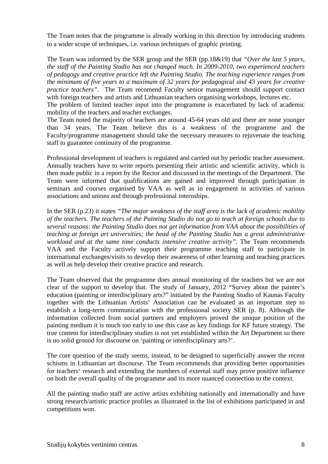The Team notes that the programme is already working in this direction by introducing students to a wider scope of techniques, i.e. various techniques of graphic printing.

The Team was informed by the SER group and the SER (pp.18&19) that *"Over the last 5 years, the staff of the Painting Studio has not changed much. In 2009-2010, two experienced teachers of pedagogy and creative practice left the Painting Studio. The teaching experience ranges from the minimum of five years to a maximum of 32 years for pedagogical and 43 years for creative practice teachers".* The Team recomend Faculty senior management should support contact with foreign teachers and artists and Lithuanian teachers organising workshops, lectures etc.

The problem of limited teacher input into the programme is exacerbated by lack of academic mobility of the teachers and teacher exchanges.

The Team noted the majority of teachers are around 45-64 years old and there are none younger than 34 years. The Team believe this is a weakness of the programme and the Faculty/programme management should take the necessary measures to rejuvenate the teaching staff to guarantee continuity of the programme.

Professional development of teachers is regulated and carried out by periodic teacher assessment. Annually teachers have to write reports presenting their artistic and scientific activity, which is then made public in a report by the Rector and discussed in the meetings of the Department. The Team were informed that qualifications are gained and improved through participation in seminars and courses organised by VAA as well as in engagement in activities of various associations and unions and through professional internships.

In the SER (p.23) it states *"The major weakness of the staff area is the lack of academic mobility of the teachers. The teachers of the Painting Studio do not go to teach at foreign schools due to several reasons: the Painting Studio does not get information from VAA about the possibilities of teaching at foreign art universities; the head of the Painting Studio has a great administrative workload and at the same time conducts intensive creative activity".* The Team recommends VAA and the Faculty actively support their programme teaching staff to participate in international exchanges/visits to develop their awareness of other learning and teaching practices as well as help develop their creative practice and research.

The Team observed that the programme does annual monitoring of the teachers but we are not clear of the support to develop that. The study of January, 2012 "Survey about the painter's education (painting or interdisciplinary arts?" initiated by the Painting Studio of Kaunas Faculty together with the Lithuanian Artists' Association can be evaluated as an important step to establish a long-term communication with the professional society SER (p. 8). Although the information collected from social partners and employers proved the unique position of the painting medium it is much too early to use this case as key findings for KF future strategy. The true content for interdisciplinary studies is not yet established within the Art Department so there is no solid ground for discourse on 'painting or interdisciplinary arts?'.

The core question of the study seems, instead, to be designed to superficially answer the recent schisms in Lithuanian art discourse. The Team recommends that providing better opportunities for teachers' research and extending the numbers of external staff may prove positive influence on both the overall quality of the programme and its more nuanced connection to the context.

All the painting studio staff are active artists exhibiting nationally and internationally and have strong research/artistic practice profiles as illustrated in the list of exhibitions participated in and competitions won.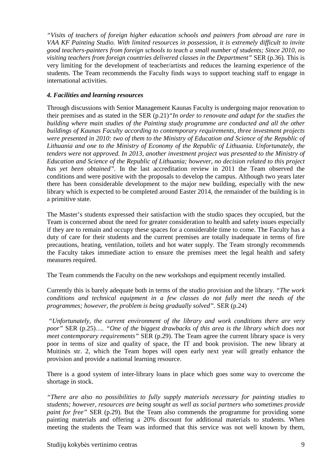*"Visits of teachers of foreign higher education schools and painters from abroad are rare in VAA KF Painting Studio. With limited resources in possession, it is extremely difficult to invite good teachers-painters from foreign schools to teach a small number of students; Since 2010, no visiting teachers from foreign countries delivered classes in the Department"* SER (p.36). This is very limiting for the development of teacher/artists and reduces the learning experience of the students. The Team recommends the Faculty finds ways to support teaching staff to engage in international activities.

#### *4. Facilities and learning resources*

Through discussions with Senior Management Kaunas Faculty is undergoing major renovation to their premises and as stated in the SER (p.21)*"In order to renovate and adapt for the studies the building where main studies of the Painting study programme are conducted and all the other buildings of Kaunas Faculty according to contemporary requirements, three investment projects were presented in 2010: two of them to the Ministry of Education and Science of the Republic of Lithuania and one to the Ministry of Economy of the Republic of Lithuania. Unfortunately, the tenders were not approved. In 2013, another investment project was presented to the Ministry of Education and Science of the Republic of Lithuania; however, no decision related to this project has yet been obtained".* In the last accreditation review in 2011 the Team observed the conditions and were positive with the proposals to develop the campus. Although two years later there has been considerable development to the major new building, especially with the new library which is expected to be completed around Easter 2014, the remainder of the building is in a primitive state.

The Master's students expressed their satisfaction with the studio spaces they occupied, but the Team is concerned about the need for greater consideration to health and safety issues especially if they are to remain and occupy these spaces for a considerable time to come. The Faculty has a duty of care for their students and the current premises are totally inadequate in terms of fire precautions, heating, ventilation, toilets and hot water supply. The Team strongly recommends the Faculty takes immediate action to ensure the premises meet the legal health and safety measures required.

The Team commends the Faculty on the new workshops and equipment recently installed.

Currently this is barely adequate both in terms of the studio provision and the library. *"The work conditions and technical equipment in a few classes do not fully meet the needs of the programmes; however, the problem is being gradually solved".* SER (p.24)

*"Unfortunately, the current environment of the library and work conditions there are very poor"* SER (p.25)…*. "One of the biggest drawbacks of this area is the library which does not meet contemporary requirements"* SER (p.29). The Team agree the current library space is very poor in terms of size and quality of space, the IT and book provision. The new library at Muitinės str. 2, which the Team hopes will open early next year will greatly enhance the provision and provide a national learning resource.

There is a good system of inter-library loans in place which goes some way to overcome the shortage in stock.

*"There are also no possibilities to fully supply materials necessary for painting studies to students; however, resources are being sought as well as social partners who sometimes provide paint for free"* SER (p.29). But the Team also commends the programme for providing some painting materials and offering a 20% discount for additional materials to students. When meeting the students the Team was informed that this service was not well known by them,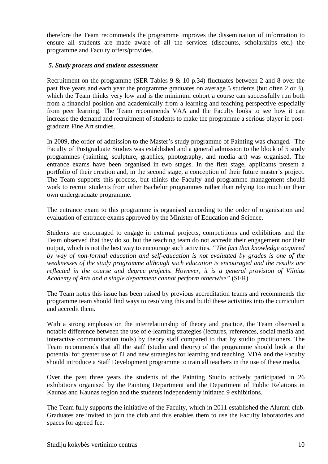therefore the Team recommends the programme improves the dissemination of information to ensure all students are made aware of all the services (discounts, scholarships etc.) the programme and Faculty offers/provides.

#### *5. Study process and student assessment*

Recruitment on the programme (SER Tables 9  $& 10$  p.34) fluctuates between 2 and 8 over the past five years and each year the programme graduates on average 5 students (but often 2 or 3), which the Team thinks very low and is the minimum cohort a course can successfully run both from a financial position and academically from a learning and teaching perspective especially from peer learning. The Team recommends VAA and the Faculty looks to see how it can increase the demand and recruitment of students to make the programme a serious player in postgraduate Fine Art studies.

In 2009, the order of admission to the Master's study programme of Painting was changed. The Faculty of Postgraduate Studies was established and a general admission to the block of 5 study programmes (painting, sculpture, graphics, photography, and media art) was organised. The entrance exams have been organised in two stages. In the first stage, applicants present a portfolio of their creation and, in the second stage, a conception of their future master's project. The Team supports this process, but thinks the Faculty and programme management should work to recruit students from other Bachelor programmes rather than relying too much on their own undergraduate programme.

The entrance exam to this programme is organised according to the order of organisation and evaluation of entrance exams approved by the Minister of Education and Science.

Students are encouraged to engage in external projects, competitions and exhibitions and the Team observed that they do so, but the teaching team do not accredit their engagement nor their output, which is not the best way to encourage such activities. *"The fact that knowledge acquired by way of non-formal education and self-education is not evaluated by grades is one of the weaknesses of the study programme although such education is encouraged and the results are reflected in the course and degree projects. However, it is a general provision of Vilnius Academy of Arts and a single department cannot perform otherwise"* (SER)

The Team notes this issue has been raised by previous accreditation teams and recommends the programme team should find ways to resolving this and build these activities into the curriculum and accredit them.

With a strong emphasis on the interrelationship of theory and practice, the Team observed a notable difference between the use of e-learning strategies (lectures, references, social media and interactive communication tools) by theory staff compared to that by studio practitioners. The Team recommends that all the staff (studio and theory) of the programme should look at the potential for greater use of IT and new strategies for learning and teaching. VDA and the Faculty should introduce a Staff Development programme to train all teachers in the use of these media.

Over the past three years the students of the Painting Studio actively participated in 26 exhibitions organised by the Painting Department and the Department of Public Relations in Kaunas and Kaunas region and the students independently initiated 9 exhibitions.

The Team fully supports the initiative of the Faculty, which in 2011 established the Alumni club. Graduates are invited to join the club and this enables them to use the Faculty laboratories and spaces for agreed fee.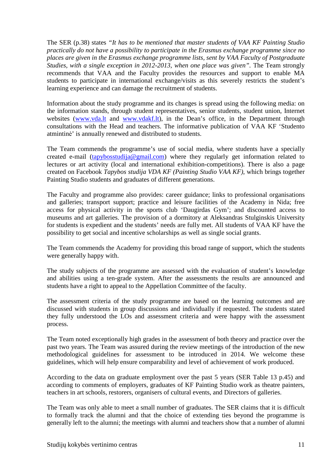The SER (p.38) states *"It has to be mentioned that master students of VAA KF Painting Studio practically do not have a possibility to participate in the Erasmus exchange programme since no places are given in the Erasmus exchange programme lists, sent by VAA Faculty of Postgraduate Studies, with a single exception in 2012-2013, when one place was given". The Team strongly* recommends that VAA and the Faculty provides the resources and support to enable MA students to participate in international exchange/visits as this severely restricts the student's learning experience and can damage the recruitment of students.

Information about the study programme and its changes is spread using the following media: on the information stands, through student representatives, senior students, student union, Internet websites (www.yda.lt and www.ydakf.lt), in the Dean's office, in the Department through consultations with the Head and teachers. The informative publication of VAA KF 'Studento atmintinė' is annually renewed and distributed to students.

The Team commends the programme's use of social media, where students have a specially created e-mail (tapybosstudija@gmail.com) where they regularly get information related to lectures or art activity (local and international exhibition-competitions). There is also a page created on Facebook *Tapybos studija VDA KF (Painting Studio VAA KF)*, which brings together Painting Studio students and graduates of different generations.

The Faculty and programme also provides: career guidance; links to professional organisations and galleries; transport support; practice and leisure facilities of the Academy in Nida; free access for physical activity in the sports club 'Daugirdas Gym'; and discounted access to museums and art galleries. The provision of a dormitory at Aleksandras Stulginskis University for students is expedient and the students' needs are fully met. All students of VAA KF have the possibility to get social and incentive scholarships as well as single social grants.

The Team commends the Academy for providing this broad range of support, which the students were generally happy with.

The study subjects of the programme are assessed with the evaluation of student's knowledge and abilities using a ten-grade system. After the assessments the results are announced and students have a right to appeal to the Appellation Committee of the faculty.

The assessment criteria of the study programme are based on the learning outcomes and are discussed with students in group discussions and individually if requested. The students stated they fully understood the LOs and assessment criteria and were happy with the assessment process.

The Team noted exceptionally high grades in the assessment of both theory and practice over the past two years. The Team was assured during the review meetings of the introduction of the new methodological guidelines for assessment to be introduced in 2014. We welcome these guidelines, which will help ensure comparability and level of achievement of work produced.

According to the data on graduate employment over the past 5 years (SER Table 13 p.45) and according to comments of employers, graduates of KF Painting Studio work as theatre painters, teachers in art schools, restorers, organisers of cultural events, and Directors of galleries.

The Team was only able to meet a small number of graduates. The SER claims that it is difficult to formally track the alumni and that the choice of extending ties beyond the programme is generally left to the alumni; the meetings with alumni and teachers show that a number of alumni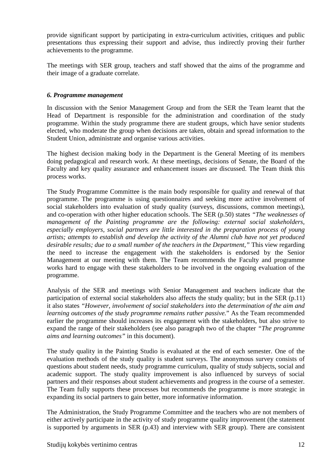provide significant support by participating in extra-curriculum activities, critiques and public presentations thus expressing their support and advise, thus indirectly proving their further achievements to the programme.

The meetings with SER group, teachers and staff showed that the aims of the programme and their image of a graduate correlate.

#### *6. Programme management*

In discussion with the Senior Management Group and from the SER the Team learnt that the Head of Department is responsible for the administration and coordination of the study programme. Within the study programme there are student groups, which have senior students elected, who moderate the group when decisions are taken, obtain and spread information to the Student Union, administrate and organise various activities.

The highest decision making body in the Department is the General Meeting of its members doing pedagogical and research work. At these meetings, decisions of Senate, the Board of the Faculty and key quality assurance and enhancement issues are discussed. The Team think this process works.

The Study Programme Committee is the main body responsible for quality and renewal of that programme. The programme is using questionnaires and seeking more active involvement of social stakeholders into evaluation of study quality (surveys, discussions, common meetings), and co-operation with other higher education schools. The SER (p.50) states *"The weaknesses of management of the Painting programme are the following: external social stakeholders, especially employers, social partners are little interested in the preparation process of young artists; attempts to establish and develop the activity of the Alumni club have not yet produced desirable results; due to a small number of the teachers in the Department,"* This view regarding the need to increase the engagement with the stakeholders is endorsed by the Senior Management at our meeting with them. The Team recommends the Faculty and programme works hard to engage with these stakeholders to be involved in the ongoing evaluation of the programme.

Analysis of the SER and meetings with Senior Management and teachers indicate that the participation of external social stakeholders also affects the study quality; but in the SER (p.11) it also states *"However, involvement of social stakeholders into the determination of the aim and learning outcomes of the study programme remains rather passive.*" As the Team recommended earlier the programme should increases its engagement with the stakeholders, but also strive to expand the range of their stakeholders (see also paragraph two of the chapter *"The programme aims and learning outcomes"* in this document).

The study quality in the Painting Studio is evaluated at the end of each semester. One of the evaluation methods of the study quality is student surveys. The anonymous survey consists of questions about student needs, study programme curriculum, quality of study subjects, social and academic support. The study quality improvement is also influenced by surveys of social partners and their responses about student achievements and progress in the course of a semester. The Team fully supports these processes but recommends the programme is more strategic in expanding its social partners to gain better, more informative information.

The Administration, the Study Programme Committee and the teachers who are not members of either actively participate in the activity of study programme quality improvement (the statement is supported by arguments in SER (p.43) and interview with SER group). There are consistent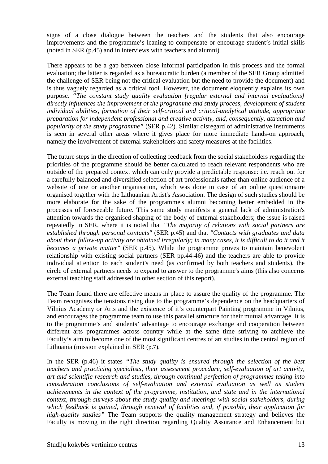signs of a close dialogue between the teachers and the students that also encourage improvements and the programme's leaning to compensate or encourage student's initial skills (noted in SER (p.45) and in interviews with teachers and alumni).

There appears to be a gap between close informal participation in this process and the formal evaluation; the latter is regarded as a bureaucratic burden (a member of the SER Group admitted the challenge of SER being not the critical evaluation but the need to provide the document) and is thus vaguely regarded as a critical tool. However, the document eloquently explains its own purpose. *"The constant study quality evaluation [regular external and internal evaluations] directly influences the improvement of the programme and study process, development of student individual abilities, formation of their self-critical and critical-analytical attitude, appropriate preparation for independent professional and creative activity, and, consequently, attraction and popularity of the study programme"* (SER p.42). Similar disregard of administrative instruments is seen in several other areas where it gives place for more immediate hands-on approach, namely the involvement of external stakeholders and safety measures at the facilities.

The future steps in the direction of collecting feedback from the social stakeholders regarding the priorities of the programme should be better calculated to reach relevant respondents who are outside of the prepared context which can only provide a predictable response: i.e. reach out for a carefully balanced and diversified selection of art professionals rather than online audience of a website of one or another organisation, which was done in case of an online questionnaire organised together with the Lithuanian Artist's Association. The design of such studies should be more elaborate for the sake of the programme's alumni becoming better embedded in the processes of foreseeable future. This same study manifests a general lack of administration's attention towards the organised shaping of the body of external stakeholders; the issue is raised repeatedly in SER, where it is noted that *"The majority of relations with social partners are established through personal contacts"* (SER p.45) and that *"Contacts with graduates and data about their follow-up activity are obtained irregularly; in many cases, it is difficult to do it and it becomes a private matter"* (SER p.45). While the programme proves to maintain benevolent relationship with existing social partners (SER pp.44-46) and the teachers are able to provide individual attention to each student's need (as confirmed by both teachers and students), the circle of external partners needs to expand to answer to the programme's aims (this also concerns external teaching staff addressed in other section of this report).

The Team found there are effective means in place to assure the quality of the programme. The Team recognises the tensions rising due to the programme's dependence on the headquarters of Vilnius Academy or Arts and the existence of it's counterpart Painting programme in Vilnius, and encourages the programme team to use this parallel structure for their mutual advantage. It is to the programme's and students' advantage to encourage exchange and cooperation between different arts programmes across country while at the same time striving to atchieve the Faculty's aim to become one of the most significant centres of art studies in the central region of Lithuania (mission explained in SER (p.7).

In the SER (p.46) it states *"The study quality is ensured through the selection of the best teachers and practicing specialists, their assessment procedure, self-evaluation of art activity, art and scientific research and studies, through continual perfection of programmes taking into consideration conclusions of self-evaluation and external evaluation as well as student achievements in the context of the programme, institution, and state and in the international context, through surveys about the study quality and meetings with social stakeholders, during which feedback is gained, through renewal of facilities and, if possible, their application for high-quality studies"* The Team supports the quality management strategy and believes the Faculty is moving in the right direction regarding Quality Assurance and Enhancement but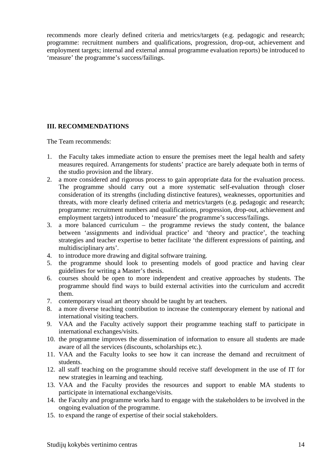recommends more clearly defined criteria and metrics/targets (e.g. pedagogic and research; programme: recruitment numbers and qualifications, progression, drop-out, achievement and employment targets; internal and external annual programme evaluation reports) be introduced to 'measure' the programme's success/failings.

#### **III. RECOMMENDATIONS**

The Team recommends:

- 1. the Faculty takes immediate action to ensure the premises meet the legal health and safety measures required. Arrangements for students' practice are barely adequate both in terms of the studio provision and the library.
- 2. a more considered and rigorous process to gain appropriate data for the evaluation process. The programme should carry out a more systematic self-evaluation through closer consideration of its strengths (including distinctive features), weaknesses, opportunities and threats, with more clearly defined criteria and metrics/targets (e.g. pedagogic and research; programme: recruitment numbers and qualifications, progression, drop-out, achievement and employment targets) introduced to 'measure' the programme's success/failings.
- 3. a more balanced curriculum the programme reviews the study content, the balance between 'assignments and individual practice' and 'theory and practice', the teaching strategies and teacher expertise to better facilitate 'the different expressions of painting, and multidisciplinary arts'.
- 4. to introduce more drawing and digital software training.
- 5. the programme should look to presenting models of good practice and having clear guidelines for writing a Master's thesis.
- 6. courses should be open to more independent and creative approaches by students. The programme should find ways to build external activities into the curriculum and accredit them.
- 7. contemporary visual art theory should be taught by art teachers.
- 8. a more diverse teaching contribution to increase the contemporary element by national and international visiting teachers.
- 9. VAA and the Faculty actively support their programme teaching staff to participate in international exchanges/visits.
- 10. the programme improves the dissemination of information to ensure all students are made aware of all the services (discounts, scholarships etc.).
- 11. VAA and the Faculty looks to see how it can increase the demand and recruitment of students.
- 12. all staff teaching on the programme should receive staff development in the use of IT for new strategies in learning and teaching.
- 13. VAA and the Faculty provides the resources and support to enable MA students to participate in international exchange/visits.
- 14. the Faculty and programme works hard to engage with the stakeholders to be involved in the ongoing evaluation of the programme.
- 15. to expand the range of expertise of their social stakeholders.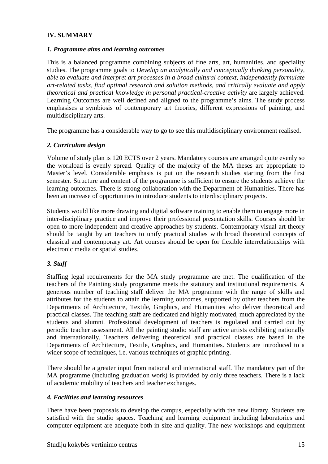#### **IV. SUMMARY**

#### *1. Programme aims and learning outcomes*

This is a balanced programme combining subjects of fine arts, art, humanities, and speciality studies. The programme goals to *Develop an analytically and conceptually thinking personality, able to evaluate and interpret art processes in a broad cultural context, independently formulate art-related tasks, find optimal research and solution methods, and critically evaluate and apply theoretical and practical knowledge in personal practical-creative activity* are largely achieved. Learning Outcomes are well defined and aligned to the programme's aims. The study process emphasises a symbiosis of contemporary art theories, different expressions of painting, and multidisciplinary arts.

The programme has a considerable way to go to see this multidisciplinary environment realised.

#### *2. Curriculum design*

Volume of study plan is 120 ECTS over 2 years. Mandatory courses are arranged quite evenly so the workload is evenly spread. Quality of the majority of the MA theses are appropriate to Master's level. Considerable emphasis is put on the research studies starting from the first semester. Structure and content of the programme is sufficient to ensure the students achieve the learning outcomes. There is strong collaboration with the Department of Humanities. There has been an increase of opportunities to introduce students to interdisciplinary projects.

Students would like more drawing and digital software training to enable them to engage more in inter-disciplinary practice and improve their professional presentation skills. Courses should be open to more independent and creative approaches by students. Contemporary visual art theory should be taught by art teachers to unify practical studies with broad theoretical concepts of classical and contemporary art. Art courses should be open for flexible interrelationships with electronic media or spatial studies.

#### *3. Staff*

Staffing legal requirements for the MA study programme are met. The qualification of the teachers of the Painting study programme meets the statutory and institutional requirements. A generous number of teaching staff deliver the MA programme with the range of skills and attributes for the students to attain the learning outcomes, supported by other teachers from the Departments of Architecture, Textile, Graphics, and Humanities who deliver theoretical and practical classes. The teaching staff are dedicated and highly motivated, much appreciated by the students and alumni. Professional development of teachers is regulated and carried out by periodic teacher assessment. All the painting studio staff are active artists exhibiting nationally and internationally. Teachers delivering theoretical and practical classes are based in the Departments of Architecture, Textile, Graphics, and Humanities. Students are introduced to a wider scope of techniques, i.e. various techniques of graphic printing.

There should be a greater input from national and international staff. The mandatory part of the MA programme (including graduation work) is provided by only three teachers. There is a lack of academic mobility of teachers and teacher exchanges.

#### *4. Facilities and learning resources*

There have been proposals to develop the campus, especially with the new library. Students are satisfied with the studio spaces. Teaching and learning equipment including laboratories and computer equipment are adequate both in size and quality. The new workshops and equipment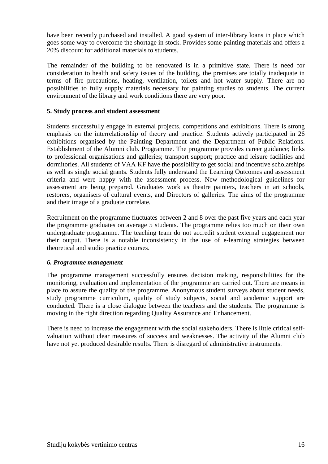have been recently purchased and installed. A good system of inter-library loans in place which goes some way to overcome the shortage in stock. Provides some painting materials and offers a 20% discount for additional materials to students.

The remainder of the building to be renovated is in a primitive state. There is need for consideration to health and safety issues of the building, the premises are totally inadequate in terms of fire precautions, heating, ventilation, toilets and hot water supply. There are no possibilities to fully supply materials necessary for painting studies to students. The current environment of the library and work conditions there are very poor.

#### **5. Study process and student assessment**

Students successfully engage in external projects, competitions and exhibitions. There is strong emphasis on the interrelationship of theory and practice. Students actively participated in 26 exhibitions organised by the Painting Department and the Department of Public Relations. Establishment of the Alumni club. Programme. The programme provides career guidance; links to professional organisations and galleries; transport support; practice and leisure facilities and dormitories. All students of VAA KF have the possibility to get social and incentive scholarships as well as single social grants. Students fully understand the Learning Outcomes and assessment criteria and were happy with the assessment process. New methodological guidelines for assessment are being prepared. Graduates work as theatre painters, teachers in art schools, restorers, organisers of cultural events, and Directors of galleries. The aims of the programme and their image of a graduate correlate.

Recruitment on the programme fluctuates between 2 and 8 over the past five years and each year the programme graduates on average 5 students. The programme relies too much on their own undergraduate programme. The teaching team do not accredit student external engagement nor their output. There is a notable inconsistency in the use of e-learning strategies between theoretical and studio practice courses.

#### *6. Programme management*

The programme management successfully ensures decision making, responsibilities for the monitoring, evaluation and implementation of the programme are carried out. There are means in place to assure the quality of the programme. Anonymous student surveys about student needs, study programme curriculum, quality of study subjects, social and academic support are conducted. There is a close dialogue between the teachers and the students. The programme is moving in the right direction regarding Quality Assurance and Enhancement.

There is need to increase the engagement with the social stakeholders. There is little critical selfvaluation without clear measures of success and weaknesses. The activity of the Alumni club have not yet produced desirable results. There is disregard of administrative instruments.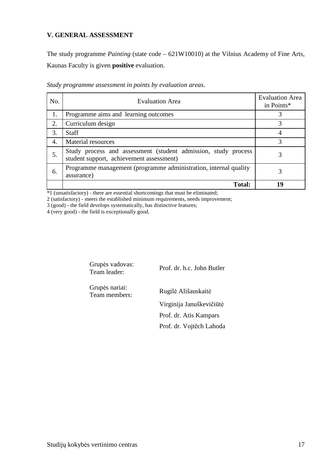#### **V. GENERAL ASSESSMENT**

The study programme *Painting* (state code – 621W10010) at the Vilnius Academy of Fine Arts, Kaunas Faculty is given **positive** evaluation.

| No. | <b>Evaluation Area</b>                                                                                     | <b>Evaluation Area</b><br>in Points* |
|-----|------------------------------------------------------------------------------------------------------------|--------------------------------------|
| 1.  | Programme aims and learning outcomes                                                                       |                                      |
| 2.  | Curriculum design                                                                                          |                                      |
| 3.  | <b>Staff</b>                                                                                               |                                      |
| 4.  | <b>Material resources</b>                                                                                  | 3                                    |
| 5.  | Study process and assessment (student admission, study process<br>student support, achievement assessment) |                                      |
| 6.  | Programme management (programme administration, internal quality<br>assurance)                             |                                      |
|     | <b>Total:</b>                                                                                              | 19                                   |

*Study programme assessment in points by evaluation areas*.

\*1 (unsatisfactory) - there are essential shortcomings that must be eliminated;

2 (satisfactory) - meets the established minimum requirements, needs improvement;

3 (good) - the field develops systematically, has distinctive features;

4 (very good) - the field is exceptionally good.

| Grupės vadovas:<br>Team leader: | Prof. dr. h.c. John Butler |
|---------------------------------|----------------------------|
| Grupės nariai:<br>Team members: | Rugilė Ališauskaitė        |
|                                 | Virginija Januškevičiūtė   |
|                                 | Prof. dr. Atis Kampars     |
|                                 | Prof. dr. Vojtěch Lahoda   |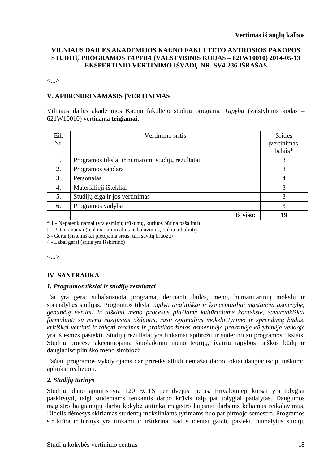#### **VILNIAUS DAILĖS AKADEMIJOS KAUNO FAKULTETO ANTROSIOS PAKOPOS STUDIJŲ PROGRAMOS** *TAPYBA* **(VALSTYBINIS KODAS – 621W10010) 2014-05-13 EKSPERTINIO VERTINIMO IŠVADŲ NR. SV4-236 IŠRAŠAS**

<...>

#### **V. APIBENDRINAMASIS ĮVERTINIMAS**

Vilniaus dailės akademijos Kauno fakulteto studijų programa *Tapyba* (valstybinis kodas – 621W10010) vertinama **teigiamai**.

| Eil.<br>Nr. | Vertinimo sritis                                 | <b>Srities</b><br>įvertinimas,<br>balais* |
|-------------|--------------------------------------------------|-------------------------------------------|
| 1.          | Programos tikslai ir numatomi studijų rezultatai | 3                                         |
| 2.          | Programos sandara                                | 3                                         |
| 3.          | Personalas                                       | $\overline{4}$                            |
| 4.          | Materialieji ištekliai                           | 3                                         |
| 5.          | Studijų eiga ir jos vertinimas                   | 3                                         |
| 6.          | Programos vadyba                                 | 3                                         |
|             | Iš viso:                                         | 19                                        |

\* 1 - Nepatenkinamai (yra esminių trūkumų, kuriuos būtina pašalinti)

2 - Patenkinamai (tenkina minimalius reikalavimus, reikia tobulinti)

3 - Gerai (sistemiškai plėtojama sritis, turi savitų bruožų)

4 - Labai gerai (sritis yra išskirtinė)

<...>

#### **IV. SANTRAUKA**

#### *1. Programos tikslai ir studijų rezultatai*

Tai yra gerai subalansuota programa, derinanti dailės, meno, humanitarinių mokslų ir specialybės studijas. Programos tikslai *ugdyti analitiškai ir konceptualiai mąstančią asmenybę, gebančią vertinti ir aiškinti meno procesus plačiame kultūriniame kontekste, savarankiškai formuluoti su menu susijusias užduotis, rasti optimalius mokslo tyrimo ir sprendimų būdus, kritiškai vertinti ir taikyti teorines ir praktikos žinias asmeninėje praktinėje-kūrybinėje veikloje* yra iš esmės pasiekti. Studijų rezultatai yra tinkamai apibrėžti ir suderinti su programos tikslais. Studijų procese akcentuojama šiuolaikinių meno teorijų, įvairių tapybos raiškos būdų ir daugiadiscipliniško meno simbiozė.

Tačiau programos vykdytojams dar prireiks atlikti nemažai darbo tokiai daugiadiscipliniškumo aplinkai realizuoti.

#### *2. Studijų turinys*

Studijų plano apimtis yra 120 ECTS per dvejus metus. Privalomieji kursai yra tolygiai paskirstyti, taigi studentams tenkantis darbo krūvis taip pat tolygiai padalytas. Daugumos magistro baigiamųjų darbų kokybė atitinka magistro laipsnio darbams keliamus reikalavimus. Didelis dėmesys skiriamas studentų moksliniams tyrimams nuo pat pirmojo semestro. Programos struktūra ir turinys yra tinkami ir užtikrina, kad studentai galėtų pasiekti numatytus studijų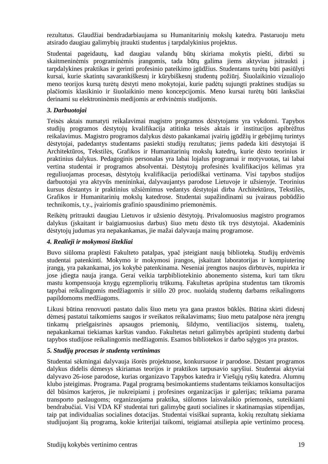rezultatus. Glaudžiai bendradarbiaujama su Humanitarinių mokslų katedra. Pastaruoju metu atsirado daugiau galimybių įtraukti studentus į tarpdalykinius projektus.

Studentai pageidautų, kad daugiau valandų būtų skiriama mokytis piešti, dirbti su skaitmeninėmis programinėmis įrangomis, tada būtų galima jiems aktyviau įsitraukti į tarpdalykines praktikas ir gerinti profesinio pateikimo įgūdžius. Studentams turėtų būti pasiūlyti kursai, kurie skatintų savarankiškesnį ir kūrybiškesnį studentų požiūrį. Šiuolaikinio vizualiojo meno teorijos kursą turėtų dėstyti meno mokytojai, kurie padėtų sujungti praktines studijas su plačiomis klasikinio ir šiuolaikinio meno koncepcijomis. Meno kursai turėtų būti lanksčiai derinami su elektroninėmis medijomis ar erdvinėmis studijomis.

#### *3. Darbuotojai*

Teisės aktais numatyti reikalavimai magistro programos dėstytojams yra vykdomi. Tapybos studijų programos dėstytojų kvalifikacija atitinka teisės aktais ir institucijos apibrėžtus reikalavimus. Magistro programos dalykus dėsto pakankamai įvairių įgūdžių ir gebėjimų turintys dėstytojai, padedantys studentams pasiekti studijų rezultatus; jiems padeda kiti dėstytojai iš Architektūros, Tekstilės, Grafikos ir Humanitarinių mokslų katedrų, kurie dėsto teorinius ir praktinius dalykus. Pedagoginis personalas yra labai lojalus programai ir motyvuotas, tai labai vertina studentai ir programos absolventai. Dėstytojų profesinės kvalifikacijos kėlimas yra reguliuojamas procesas, dėstytojų kvalifikacija periodiškai vertinama. Visi tapybos studijos darbuotojai yra aktyvūs menininkai, dalyvaujantys parodose Lietuvoje ir užsienyje. Teorinius kursus dėstantys ir praktinius užsiėmimus vedantys dėstytojai dirba Architektūros, Tekstilės, Grafikos ir Humanitarinių mokslų katedrose. Studentai supažindinami su įvairaus pobūdžio technikomis, t.y., įvairiomis grafinio spausdinimo priemonėmis.

Reikėtų pritraukti daugiau Lietuvos ir užsienio dėstytojų. Privalomuosius magistro programos dalykus (įskaitant ir baigiamuosius darbus) šiuo metu dėsto tik trys dėstytojai. Akademinis dėstytojų judumas yra nepakankamas, jie mažai dalyvauja mainų programose.

#### *4. Realieji ir mokymosi ištekliai*

Buvo siūloma praplėsti Fakulteto patalpas, ypač įsteigiant naują biblioteką. Studijų erdvėmis studentai patenkinti. Mokymo ir mokymosi įrangos, įskaitant laboratorijas ir kompiuterinę įrangą, yra pakankamai, jos kokybė patenkinama. Neseniai įrengtos naujos dirbtuvės, nupirkta ir jose įdiegta nauja įranga. Gerai veikia tarpbibliotekinio abonemento sistema, kuri tam tikru mastu kompensuoja knygų egzempliorių trūkumą. Fakultetas aprūpina studentus tam tikromis tapybai reikalingomis medžiagomis ir siūlo 20 proc. nuolaidą studentų darbams reikalingoms papildomoms medžiagoms.

Likusi būtina renovuoti pastato dalis šiuo metu yra gana prastos būklės. Būtina skirti didesnį dėmesį pastatui taikomiems saugos ir sveikatos reikalavimams; šiuo metu patalpose nėra įrengtų tinkamų priešgaisrinės apsaugos priemonių, šildymo, ventiliacijos sistemų, tualetų, nepakankamai tiekiamas karštas vanduo. Fakultetas neturi galimybės aprūpinti studentų darbui tapybos studijose reikalingomis medžiagomis. Esamos bibliotekos ir darbo sąlygos yra prastos.

#### *5. Studijų procesas ir studentų vertinimas*

Studentai sėkmingai dalyvauja išorės projektuose, konkursuose ir parodose. Dėstant programos dalykus didelis dėmesys skiriamas teorijos ir praktikos tarpusavio sąryšiui. Studentai aktyviai dalyvavo 26-iose parodose, kurias organizavo Tapybos katedra ir Viešųjų ryšių katedra. Alumnų klubo įsteigimas. Programa. Pagal programą besimokantiems studentams teikiamos konsultacijos dėl būsimos karjeros, jie nukreipiami į profesines organizacijas ir galerijas; teikiama parama transporto paslaugoms; organizuojama praktika, siūlomos laisvalaikio priemonės, suteikiami bendrabučiai. Visi VDA KF studentai turi galimybę gauti socialines ir skatinamąsias stipendijas, taip pat individualias socialines dotacijas. Studentai visiškai supranta, kokių rezultatų siekiama studijuojant šią programą, kokie kriterijai taikomi, teigiamai atsiliepia apie vertinimo procesą.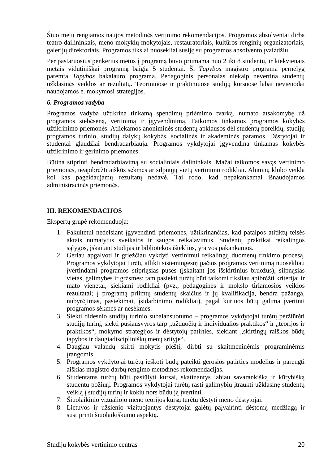Šiuo metu rengiamos naujos metodinės vertinimo rekomendacijos. Programos absolventai dirba teatro dailininkais, meno mokyklų mokytojais, restauratoriais, kultūros renginių organizatoriais, galerijų direktoriais. Programos tikslai nuosekliai susiję su programos absolvento įvaizdžiu.

Per pastaruosius penkerius metus į programą buvo priimama nuo 2 iki 8 studentų, ir kiekvienais metais vidutiniškai programą baigia 5 studentai. Ši *Tapybos* magistro programa pernelyg paremta *Tapybos* bakalauro programa. Pedagoginis personalas niekaip nevertina studentų užklasinės veiklos ar rezultatų. Teoriniuose ir praktiniuose studijų kursuose labai nevienodai naudojamos e. mokymosi strategijos.

#### *6. Programos vadyba*

Programos vadyba užtikrina tinkamą spendimų priėmimo tvarką, numato atsakomybę už programos stebėseną, vertinimą ir įgyvendinimą. Taikomos tinkamos programos kokybės užtikrinimo priemonės. Atliekamos anoniminės studentų apklausos dėl studentų poreikių, studijų programos turinio, studijų dalykų kokybės, socialinės ir akademinės paramos. Dėstytojai ir studentai glaudžiai bendradarbiauja. Programos vykdytojai įgyvendina tinkamas kokybės užtikrinimo ir gerinimo priemones.

Būtina stiprinti bendradarbiavimą su socialiniais dalininkais. Mažai taikomos savęs vertinimo priemonės, neapibrėžti aiškūs sėkmės ar silpnųjų vietų vertinimo rodikliai. Alumnų klubo veikla kol kas pageidaujamų rezultatų nedavė. Tai rodo, kad nepakankamai išnaudojamos administracinės priemonės.

#### **III. REKOMENDACIJOS**

Ekspertų grupė rekomenduoja:

- 1. Fakultetui nedelsiant įgyvendinti priemones, užtikrinančias, kad patalpos atitiktų teisės aktais numatytus sveikatos ir saugos reikalavimus. Studentų praktikai reikalingos sąlygos, įskaitant studijas ir bibliotekos išteklius, yra vos pakankamos.
- 2. Geriau apgalvoti ir griežčiau vykdyti vertinimui reikalingų duomenų rinkimo procesą. Programos vykdytojai turėtų atlikti sistemingesnį pačios programos vertinimą nuosekliau įvertindami programos stipriąsias puses (įskaitant jos išskirtinius bruožus), silpnąsias vietas, galimybes ir grėsmes; tam pasiekti turėtų būti taikomi tiksliau apibrėžti kriterijai ir mato vienetai, siekiami rodikliai (pvz., pedagoginės ir mokslo tiriamosios veiklos rezultatai; į programą priimtų studentų skaičius ir jų kvalifikacija, bendra pažanga, nubyrėjimas, pasiekimai, įsidarbinimo rodikliai), pagal kuriuos būtų galima įvertinti programos sėkmes ar nesėkmes.
- 3. Siekti didesnio studijų turinio subalansuotumo programos vykdytojai turėtų peržiūrėti studijų turinį, siekti pusiausvyros tarp "užduočių ir individualios praktikos" ir "teorijos ir praktikos", mokymo strategijos ir dėstytojų patirties, siekiant "skirtingų raiškos būdų tapybos ir daugiadiscipliniškų menų srityje".
- 4. Daugiau valandų skirti mokytis piešti, dirbti su skaitmeninėmis programinėmis įrangomis.
- 5. Programos vykdytojai turėtų ieškoti būdų pateikti gerosios patirties modelius ir parengti aiškias magistro darbų rengimo metodines rekomendacijas.
- 6. Studentams turėtų būti pasiūlyti kursai, skatinantys labiau savarankišką ir kūrybišką studentų požiūrį. Programos vykdytojai turėtų rasti galimybių įtraukti užklasinę studentų veiklą į studijų turinį ir kokiu nors būdu ją įvertinti.
- 7. Šiuolaikinio vizualiojo meno teorijos kursą turėtų dėstyti meno dėstytojai.
- 8. Lietuvos ir užsienio vizituojantys dėstytojai galėtų paįvairinti dėstomą medžiagą ir sustiprinti šiuolaikiškumo aspektą.